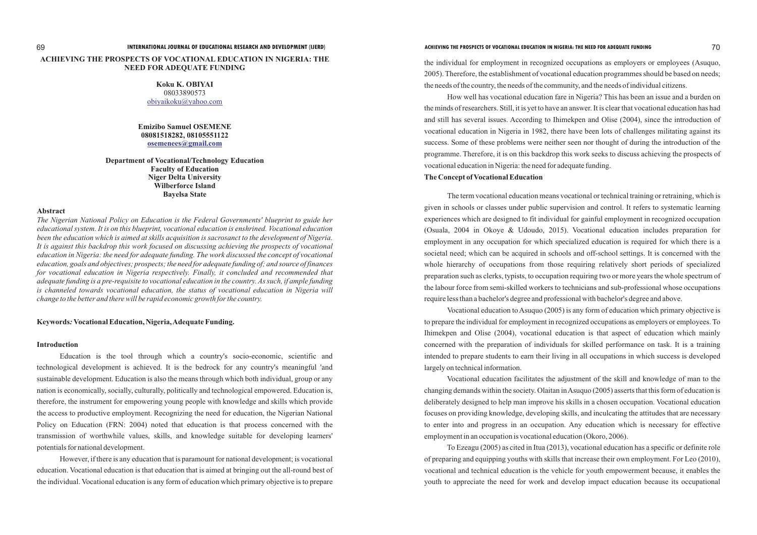# **ACHIEVING THE PROSPECTS OF VOCATIONAL EDUCATION IN NIGERIA: THE NEED FOR ADEQUATE FUNDING**

**Department of Vocational/Technology Education Faculty of Education Niger Delta University Wilberforce Island Bayelsa State**

## **Abstract**

*The Nigerian National Policy on Education is the Federal Governments' blueprint to guide her educational system. It is on this blueprint, vocational education is enshrined. Vocational education been the education which is aimed at skills acquisition is sacrosanct to the development of Nigeria. It is against this backdrop this work focused on discussing achieving the prospects of vocational education in Nigeria: the need for adequate funding. The work discussed the concept of vocational education, goals and objectives; prospects; the need for adequate funding of; and source of finances for vocational education in Nigeria respectively. Finally, it concluded and recommended that adequate funding is a pre-requisite to vocational education in the country. As such, if ample funding is channeled towards vocational education, the status of vocational education in Nigeria will change to the better and there will be rapid economic growth for the country.*

**Koku K. OBIYAI** 08033890573 [obiyaikoku@yahoo.com](mailto:obiyaikoku@yahoo.com)

**Emizibo Samuel OSEMENE 08081518282, 08105551122 [osemenees@gmail.com](mailto:osemenees@gmail.com)**

# **Keywords***:* **Vocational Education, Nigeria, Adequate Funding.**

#### **Introduction**

Education is the tool through which a country's socio-economic, scientific and technological development is achieved. It is the bedrock for any country's meaningful 'and sustainable development. Education is also the means through which both individual, group or any nation is economically, socially, culturally, politically and technological empowered. Education is, therefore, the instrument for empowering young people with knowledge and skills which provide the access to productive employment. Recognizing the need for education, the Nigerian National Policy on Education (FRN: 2004) noted that education is that process concerned with the transmission of worthwhile values, skills, and knowledge suitable for developing learners' potentials for national development.

However, if there is any education that is paramount for national development; is vocational education. Vocational education is that education that is aimed at bringing out the all-round best of the individual. Vocational education is any form of education which primary objective is to prepare

the individual for employment in recognized occupations as employers or employees (Asuquo, 2005). Therefore, the establishment of vocational education programmes should be based on needs; the needs of the country, the needs of the community, and the needs of individual citizens.

How well has vocational education fare in Nigeria? This has been an issue and a burden on the minds of researchers. Still, it is yet to have an answer. It is clear that vocational education has had and still has several issues. According to Ihimekpen and Olise (2004), since the introduction of vocational education in Nigeria in 1982, there have been lots of challenges militating against its success. Some of these problems were neither seen nor thought of during the introduction of the programme. Therefore, it is on this backdrop this work seeks to discuss achieving the prospects of vocational education in Nigeria: the need for adequate funding. **The Concept of Vocational Education**

The term vocational education means vocational or technical training or retraining, which is given in schools or classes under public supervision and control. It refers to systematic learning experiences which are designed to fit individual for gainful employment in recognized occupation (Osuala, 2004 in Okoye & Udoudo, 2015). Vocational education includes preparation for employment in any occupation for which specialized education is required for which there is a societal need; which can be acquired in schools and off-school settings. It is concerned with the whole hierarchy of occupations from those requiring relatively short periods of specialized preparation such as clerks, typists, to occupation requiring two or more years the whole spectrum of the labour force from semi-skilled workers to technicians and sub-professional whose occupations require less than a bachelor's degree and professional with bachelor's degree and above.

Vocational education to Asuquo (2005) is any form of education which primary objective is to prepare the individual for employment in recognized occupations as employers or employees. To Ihimekpen and Olise (2004), vocational education is that aspect of education which mainly concerned with the preparation of individuals for skilled performance on task. It is a training intended to prepare students to earn their living in all occupations in which success is developed largely on technical information.

Vocational education facilitates the adjustment of the skill and knowledge of man to the changing demands within the society. Olaitan in Asuquo (2005) asserts that this form of education is deliberately designed to help man improve his skills in a chosen occupation. Vocational education focuses on providing knowledge, developing skills, and inculcating the attitudes that are necessary to enter into and progress in an occupation. Any education which is necessary for effective employment in an occupation is vocational education (Okoro, 2006).

To Ezeagu (2005) as cited in Itua (2013), vocational education has a specific or definite role of preparing and equipping youths with skills that increase their own employment. For Leo (2010), vocational and technical education is the vehicle for youth empowerment because, it enables the youth to appreciate the need for work and develop impact education because its occupational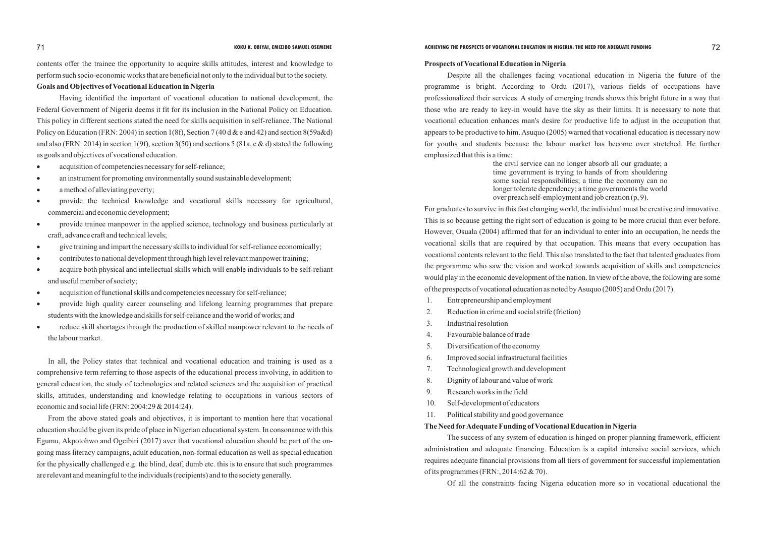contents offer the trainee the opportunity to acquire skills attitudes, interest and knowledge to perform such socio-economic works that are beneficial not only to the individual but to the society.

# **Goals and Objectives of Vocational Education in Nigeria**

Having identified the important of vocational education to national development, the Federal Government of Nigeria deems it fit for its inclusion in the National Policy on Education. This policy in different sections stated the need for skills acquisition in self-reliance. The National Policy on Education (FRN: 2004) in section 1(8f), Section 7 (40 d & e and 42) and section 8(59a&d) and also (FRN: 2014) in section 1(9f), section 3(50) and sections 5 (81a, c & d) stated the following as goals and objectives of vocational education.

- acquisition of competencies necessary for self-reliance;
- an instrument for promoting environmentally sound sustainable development;
- a method of alleviating poverty;
- provide the technical knowledge and vocational skills necessary for agricultural, commercial and economic development;
- provide trainee manpower in the applied science, technology and business particularly at craft, advance craft and technical levels;
- ·give training and impart the necessary skills to individual for self-reliance economically;
- ·contributes to national development through high level relevant manpower training;
- ·acquire both physical and intellectual skills which will enable individuals to be self-reliant and useful member of society;
- acquisition of functional skills and competencies necessary for self-reliance;
- provide high quality career counseling and lifelong learning programmes that prepare students with the knowledge and skills for self-reliance and the world of works; and
- reduce skill shortages through the production of skilled manpower relevant to the needs of the labour market.

In all, the Policy states that technical and vocational education and training is used as a comprehensive term referring to those aspects of the educational process involving, in addition to general education, the study of technologies and related sciences and the acquisition of practical skills, attitudes, understanding and knowledge relating to occupations in various sectors of economic and social life (FRN: 2004:29 & 2014:24).

From the above stated goals and objectives, it is important to mention here that vocational education should be given its pride of place in Nigerian educational system. In consonance with this Egumu, Akpotohwo and Ogeibiri (2017) aver that vocational education should be part of the ongoing mass literacy campaigns, adult education, non-formal education as well as special education for the physically challenged e.g. the blind, deaf, dumb etc. this is to ensure that such programmes are relevant and meaningful to the individuals (recipients) and to the society generally.

# **KOKU K. OBIYAI, EMIZIBO SAMUEL OSEMENE ACHIEVING THE PROSPECTS OF VOCATIONAL EDUCATION IN NIGERIA: THE NEED FOR ADEQUATE FUNDING 72**

#### **Prospects of Vocational Education in Nigeria**

Despite all the challenges facing vocational education in Nigeria the future of the programme is bright. According to Ordu (2017), various fields of occupations have professionalized their services. A study of emerging trends shows this bright future in a way that those who are ready to key-in would have the sky as their limits. It is necessary to note that vocational education enhances man's desire for productive life to adjust in the occupation that appears to be productive to him. Asuquo (2005) warned that vocational education is necessary now for youths and students because the labour market has become over stretched. He further emphasized that this is a time:

> the civil service can no longer absorb all our graduate; a time government is trying to hands of from shouldering some social responsibilities; a time the economy can no longer tolerate dependency; a time governments the world over preach self-employment and job creation (p, 9).

For graduates to survive in this fast changing world, the individual must be creative and innovative. This is so because getting the right sort of education is going to be more crucial than ever before. However, Osuala (2004) affirmed that for an individual to enter into an occupation, he needs the vocational skills that are required by that occupation. This means that every occupation has vocational contents relevant to the field. This also translated to the fact that talented graduates from the prgoramme who saw the vision and worked towards acquisition of skills and competencies would play in the economic development of the nation. In view of the above, the following are some of the prospects of vocational education as noted by Asuquo (2005) and Ordu (2017).

- 1. Entrepreneurship and employment
- 2. Reduction in crime and social strife (friction)
- 3. Industrial resolution
- 4. Favourable balance of trade
- 5. Diversification of the economy
- 6. Improved social infrastructural facilities
- 7. Technological growth and development
- 8. Dignity of labour and value of work
- 9. Research works in the field
- 10. Self-development of educators
- 11. Political stability and good governance

# **The Need forAdequate Funding of Vocational Education in Nigeria**

The success of any system of education is hinged on proper planning framework, efficient administration and adequate financing. Education is a capital intensive social services, which requires adequate financial provisions from all tiers of government for successful implementation of its programmes (FRN:, 2014:62 & 70).

Of all the constraints facing Nigeria education more so in vocational educational the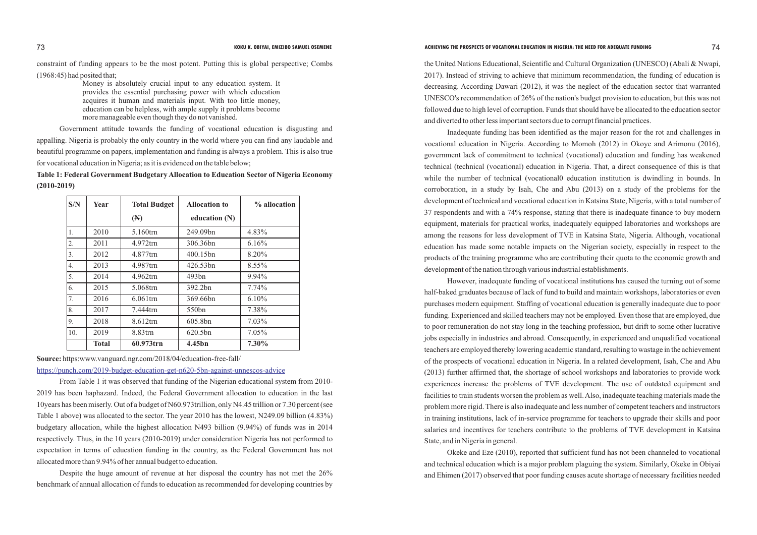constraint of funding appears to be the most potent. Putting this is global perspective; Combs

(1968:45) had posited that;

Money is absolutely crucial input to any education system. It provides the essential purchasing power with which education acquires it human and materials input. With too little money, education can be helpless, with ample supply it problems become more manageable even though they do not vanished.

Government attitude towards the funding of vocational education is disgusting and appalling. Nigeria is probably the only country in the world where you can find any laudable and beautiful programme on papers, implementation and funding is always a problem. This is also true for vocational education in Nigeria; as it is evidenced on the table below;

**Table 1: Federal Government Budgetary Allocation to Education Sector of Nigeria Economy (2010-2019)** 

| S/N | Year         | <b>Total Budget</b> | <b>Allocation to</b> | % allocation |
|-----|--------------|---------------------|----------------------|--------------|
|     |              | $(\mathbb{N})$      | education (N)        |              |
| 1.  | 2010         | 5.160trn            | 249.09bn             | 4.83%        |
| 2.  | 2011         | 4.972trn            | 306.36bn             | 6.16%        |
| 3.  | 2012         | 4.877trn            | 400.15bn             | 8.20%        |
| 4.  | 2013         | 4.987tm             | 426.53bn             | $8.55\%$     |
| 5.  | 2014         | 4.962trn            | 493bn                | 9.94%        |
| 6.  | 2015         | 5.068trn            | 392.2bn              | 7.74%        |
| 7.  | 2016         | $6.061$ trn         | 369.66bn             | 6.10%        |
| 8.  | 2017         | 7.444trn            | 550bn                | 7.38%        |
| 9.  | 2018         | 8.612trn            | 605.8bn              | 7.03%        |
| 10. | 2019         | 8.83trn             | 620.5bn              | 7.05%        |
|     | <b>Total</b> | 60.973trn           | 4.45bn               | 7.30%        |

**Source:** https:www.vanguard.ngr.com/2018/04/education-free-fall/

From Table 1 it was observed that funding of the Nigerian educational system from 2010- 2019 has been haphazard. Indeed, the Federal Government allocation to education in the last 10years has been miserly. Out of a budget of N60.973trillion, only N4.45 trillion or 7.30 percent (see Table 1 above) was allocated to the sector. The year 2010 has the lowest, N249.09 billion (4.83%) budgetary allocation, while the highest allocation N493 billion (9.94%) of funds was in 2014 respectively. Thus, in the 10 years (2010-2019) under consideration Nigeria has not performed to expectation in terms of education funding in the country, as the Federal Government has not allocated more than 9.94% of her annual budget to education.

Despite the huge amount of revenue at her disposal the country has not met the 26% benchmark of annual allocation of funds to education as recommended for developing countries by

# **KOKU K. OBIYAI, EMIZIBO SAMUEL OSEMENE ACHIEVING THE PROSPECTS OF VOCATIONAL EDUCATION IN NIGERIA: THE NEED FOR ADEQUATE FUNDING**

<https://punch.com/2019-budget-education-get-n620-5bn-against-unnescos-advice>

the United Nations Educational, Scientific and Cultural Organization (UNESCO) (Abali & Nwapi, 2017). Instead of striving to achieve that minimum recommendation, the funding of education is decreasing. According Dawari (2012), it was the neglect of the education sector that warranted UNESCO's recommendation of 26% of the nation's budget provision to education, but this was not followed due to high level of corruption. Funds that should have be allocated to the education sector and diverted to other less important sectors due to corrupt financial practices.

Inadequate funding has been identified as the major reason for the rot and challenges in vocational education in Nigeria. According to Momoh (2012) in Okoye and Arimonu (2016), government lack of commitment to technical (vocational) education and funding has weakened technical (technical (vocational) education in Nigeria. That, a direct consequence of this is that while the number of technical (vocational education institution is dwindling in bounds. In corroboration, in a study by Isah, Che and Abu (2013) on a study of the problems for the development of technical and vocational education in Katsina State, Nigeria, with a total number of 37 respondents and with a 74% response, stating that there is inadequate finance to buy modern equipment, materials for practical works, inadequately equipped laboratories and workshops are among the reasons for less development of TVE in Katsina State, Nigeria. Although, vocational education has made some notable impacts on the Nigerian society, especially in respect to the products of the training programme who are contributing their quota to the economic growth and development of the nation through various industrial establishments.

However, inadequate funding of vocational institutions has caused the turning out of some half-baked graduates because of lack of fund to build and maintain workshops, laboratories or even purchases modern equipment. Staffing of vocational education is generally inadequate due to poor funding. Experienced and skilled teachers may not be employed. Even those that are employed, due to poor remuneration do not stay long in the teaching profession, but drift to some other lucrative jobs especially in industries and abroad. Consequently, in experienced and unqualified vocational teachers are employed thereby lowering academic standard, resulting to wastage in the achievement of the prospects of vocational education in Nigeria. In a related development, Isah, Che and Abu (2013) further affirmed that, the shortage of school workshops and laboratories to provide work experiences increase the problems of TVE development. The use of outdated equipment and facilities to train students worsen the problem as well. Also, inadequate teaching materials made the problem more rigid. There is also inadequate and less number of competent teachers and instructors in training institutions, lack of in-service programme for teachers to upgrade their skills and poor salaries and incentives for teachers contribute to the problems of TVE development in Katsina State, and in Nigeria in general.

Okeke and Eze (2010), reported that sufficient fund has not been channeled to vocational and technical education which is a major problem plaguing the system. Similarly, Okeke in Obiyai and Ehimen (2017) observed that poor funding causes acute shortage of necessary facilities needed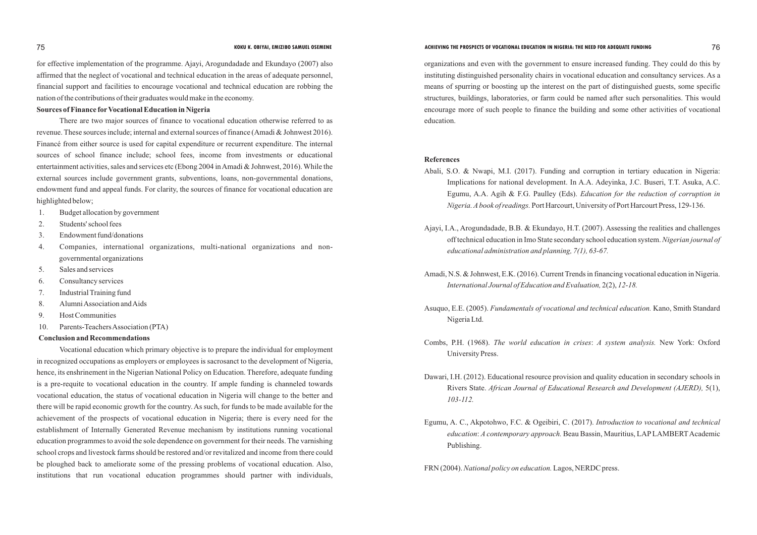for effective implementation of the programme. Ajayi, Arogundadade and Ekundayo (2007) also affirmed that the neglect of vocational and technical education in the areas of adequate personnel, financial support and facilities to encourage vocational and technical education are robbing the nation of the contributions of their graduates would make in the economy.

## **Sources of Finance for Vocational Education in Nigeria**

There are two major sources of finance to vocational education otherwise referred to as revenue. These sources include; internal and external sources of finance (Amadi & Johnwest 2016). Financé from either source is used for capital expenditure or recurrent expenditure. The internal sources of school finance include; school fees, income from investments or educational entertainment activities, sales and services etc (Ebong 2004 in Amadi & Johnwest, 2016). While the external sources include government grants, subventions, loans, non-governmental donations, endowment fund and appeal funds. For clarity, the sources of finance for vocational education are highlighted below;

- 1. Budget allocation by government
- 2. Students' school fees
- 3. Endowment fund/donations
- 4. Companies, international organizations, multi-national organizations and nongovernmental organizations
- 5. Sales and services
- 6. Consultancy services
- 7. Industrial Training fund
- 8. Alumni Association and Aids
- 9. Host Communities
- 10. Parents-Teachers Association (PTA)

# **Conclusion and Recommendations**

Vocational education which primary objective is to prepare the individual for employment in recognized occupations as employers or employees is sacrosanct to the development of Nigeria, hence, its enshrinement in the Nigerian National Policy on Education. Therefore, adequate funding is a pre-requite to vocational education in the country. If ample funding is channeled towards vocational education, the status of vocational education in Nigeria will change to the better and there will be rapid economic growth for the country. As such, for funds to be made available for the achievement of the prospects of vocational education in Nigeria; there is every need for the establishment of Internally Generated Revenue mechanism by institutions running vocational education programmes to avoid the sole dependence on government for their needs. The varnishing school crops and livestock farms should be restored and/or revitalized and income from there could be ploughed back to ameliorate some of the pressing problems of vocational education. Also, institutions that run vocational education programmes should partner with individuals,

Egumu, A. C., Akpotohwo, F.C. & Ogeibiri, C. (2017). *Introduction to vocational and technical education: A contemporary approach.* Beau Bassin, Mauritius, LAP LAMBERT Academic

organizations and even with the government to ensure increased funding. They could do this by instituting distinguished personality chairs in vocational education and consultancy services. As a means of spurring or boosting up the interest on the part of distinguished guests, some specific structures, buildings, laboratories, or farm could be named after such personalities. This would encourage more of such people to finance the building and some other activities of vocational education.

### **References**

Abali, S.O. & Nwapi, M.I. (2017). Funding and corruption in tertiary education in Nigeria: Implications for national development. In A.A. Adeyinka, J.C. Buseri, T.T. Asuka, A.C. Egumu, A.A. Agih & F.G. Paulley (Eds). *Education for the reduction of corruption in Nigeria. Abook of readings.* Port Harcourt, University of Port Harcourt Press, 129-136.

Ajayi, I.A., Arogundadade, B.B. & Ekundayo, H.T. (2007). Assessing the realities and challenges off technical education in Imo State secondary school education system. *Nigerian journal of* 

Amadi, N.S. & Johnwest, E.K. (2016). Current Trends in financing vocational education in Nigeria.

Asuquo, E.E. (2005). *Fundamentals of vocational and technical education.* Kano, Smith Standard

Combs, P.H. (1968). *The world education in crises*: *A system analysis.* New York: Oxford

- 
- *educational administration and planning, 7(1), 63-67.*
- *International Journal of Education and Evaluation,* 2(2), *12-18.*
- Nigeria Ltd.
- University Press.
- *103-112.*
- Publishing.

Dawari, I.H. (2012). Educational resource provision and quality education in secondary schools in Rivers State. *African Journal of Educational Research and Development (AJERD),* 5(1),

FRN (2004). *National policy on education.* Lagos, NERDC press.

## 75 **KOKU K. OBIYAI, EMIZIBO SAMUEL OSEMENE ACHIEVING THE PROSPECTS OF VOCATIONAL EDUCATION IN NIGERIA: THE NEED FOR ADEQUATE FUNDING** 76